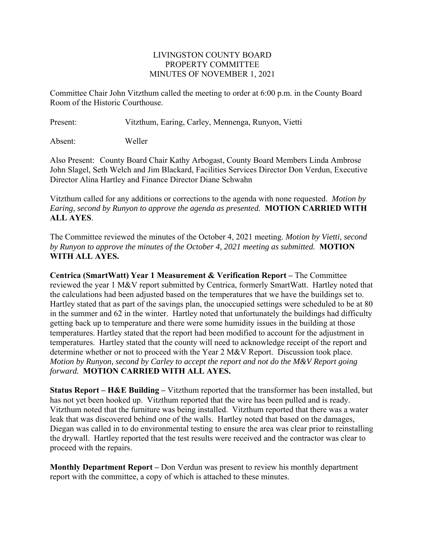## LIVINGSTON COUNTY BOARD PROPERTY COMMITTEE MINUTES OF NOVEMBER 1, 2021

Committee Chair John Vitzthum called the meeting to order at 6:00 p.m. in the County Board Room of the Historic Courthouse.

Present: Vitzthum, Earing, Carley, Mennenga, Runyon, Vietti

Absent: Weller

Also Present: County Board Chair Kathy Arbogast, County Board Members Linda Ambrose John Slagel, Seth Welch and Jim Blackard, Facilities Services Director Don Verdun, Executive Director Alina Hartley and Finance Director Diane Schwahn

Vitzthum called for any additions or corrections to the agenda with none requested. *Motion by Earing, second by Runyon to approve the agenda as presented.* **MOTION CARRIED WITH ALL AYES**.

The Committee reviewed the minutes of the October 4, 2021 meeting. *Motion by Vietti, second by Runyon to approve the minutes of the October 4, 2021 meeting as submitted.* **MOTION WITH ALL AYES.** 

**Centrica (SmartWatt) Year 1 Measurement & Verification Report –** The Committee reviewed the year 1 M&V report submitted by Centrica, formerly SmartWatt. Hartley noted that the calculations had been adjusted based on the temperatures that we have the buildings set to. Hartley stated that as part of the savings plan, the unoccupied settings were scheduled to be at 80 in the summer and 62 in the winter. Hartley noted that unfortunately the buildings had difficulty getting back up to temperature and there were some humidity issues in the building at those temperatures. Hartley stated that the report had been modified to account for the adjustment in temperatures. Hartley stated that the county will need to acknowledge receipt of the report and determine whether or not to proceed with the Year 2 M&V Report. Discussion took place. *Motion by Runyon, second by Carley to accept the report and not do the M&V Report going forward.* **MOTION CARRIED WITH ALL AYES.** 

**Status Report – H&E Building –** Vitzthum reported that the transformer has been installed, but has not yet been hooked up. Vitzthum reported that the wire has been pulled and is ready. Vitzthum noted that the furniture was being installed. Vitzthum reported that there was a water leak that was discovered behind one of the walls. Hartley noted that based on the damages, Diegan was called in to do environmental testing to ensure the area was clear prior to reinstalling the drywall. Hartley reported that the test results were received and the contractor was clear to proceed with the repairs.

**Monthly Department Report –** Don Verdun was present to review his monthly department report with the committee, a copy of which is attached to these minutes.